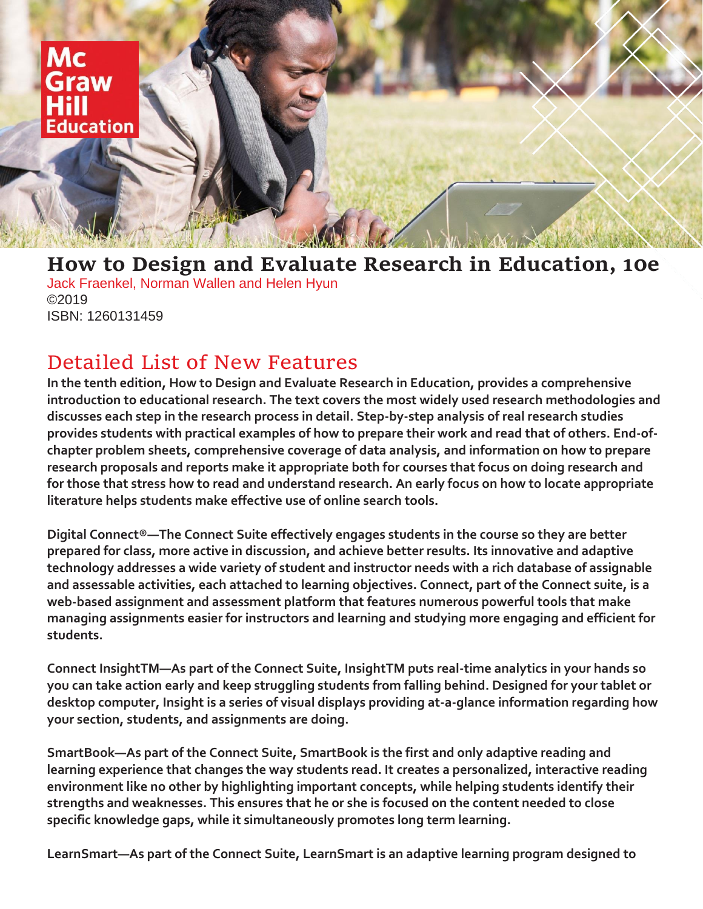

## **How to Design and Evaluate Research in Education, 10e** Jack Fraenkel, Norman Wallen and Helen Hyun ©2019 ISBN: 1260131459

## Detailed List of New Features

**In the tenth edition, How to Design and Evaluate Research in Education, provides a comprehensive introduction to educational research. The text covers the most widely used research methodologies and discusses each step in the research process in detail. Step-by-step analysis of real research studies provides students with practical examples of how to prepare their work and read that of others. End-ofchapter problem sheets, comprehensive coverage of data analysis, and information on how to prepare research proposals and reports make it appropriate both for courses that focus on doing research and for those that stress how to read and understand research. An early focus on how to locate appropriate literature helps students make effective use of online search tools.**

**Digital Connect®—The Connect Suite effectively engages students in the course so they are better prepared for class, more active in discussion, and achieve better results. Its innovative and adaptive technology addresses a wide variety of student and instructor needs with a rich database of assignable and assessable activities, each attached to learning objectives. Connect, part of the Connect suite, is a web-based assignment and assessment platform that features numerous powerful tools that make managing assignments easier for instructors and learning and studying more engaging and efficient for students.** 

**Connect InsightTM—As part of the Connect Suite, InsightTM puts real-time analytics in your hands so you can take action early and keep struggling students from falling behind. Designed for your tablet or desktop computer, Insight is a series of visual displays providing at-a-glance information regarding how your section, students, and assignments are doing.** 

**SmartBook—As part of the Connect Suite, SmartBook is the first and only adaptive reading and learning experience that changes the way students read. It creates a personalized, interactive reading environment like no other by highlighting important concepts, while helping students identify their strengths and weaknesses. This ensures that he or she is focused on the content needed to close specific knowledge gaps, while it simultaneously promotes long term learning.** 

**LearnSmart—As part of the Connect Suite, LearnSmart is an adaptive learning program designed to**